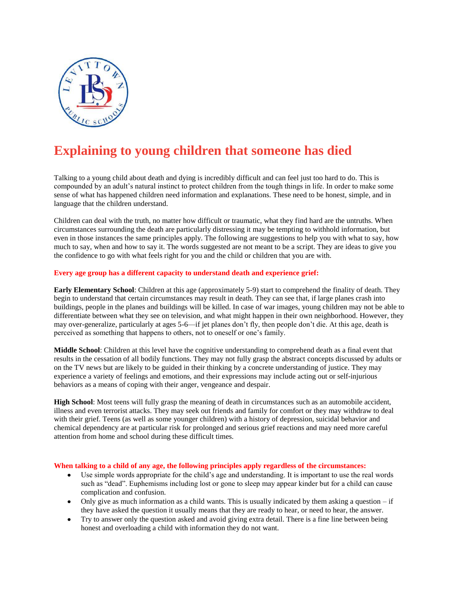

# **Explaining to young children that someone has died**

Talking to a young child about death and dying is incredibly difficult and can feel just too hard to do. This is compounded by an adult's natural instinct to protect children from the tough things in life. In order to make some sense of what has happened children need information and explanations. These need to be honest, simple, and in language that the children understand.

Children can deal with the truth, no matter how difficult or traumatic, what they find hard are the untruths. When circumstances surrounding the death are particularly distressing it may be tempting to withhold information, but even in those instances the same principles apply. The following are suggestions to help you with what to say, how much to say, when and how to say it. The words suggested are not meant to be a script. They are ideas to give you the confidence to go with what feels right for you and the child or children that you are with.

### **Every age group has a different capacity to understand death and experience grief:**

**Early Elementary School**: Children at this age (approximately 5-9) start to comprehend the finality of death. They begin to understand that certain circumstances may result in death. They can see that, if large planes crash into buildings, people in the planes and buildings will be killed. In case of war images, young children may not be able to differentiate between what they see on television, and what might happen in their own neighborhood. However, they may over-generalize, particularly at ages 5-6—if jet planes don't fly, then people don't die. At this age, death is perceived as something that happens to others, not to oneself or one's family.

**Middle School**: Children at this level have the cognitive understanding to comprehend death as a final event that results in the cessation of all bodily functions. They may not fully grasp the abstract concepts discussed by adults or on the TV news but are likely to be guided in their thinking by a concrete understanding of justice. They may experience a variety of feelings and emotions, and their expressions may include acting out or self-injurious behaviors as a means of coping with their anger, vengeance and despair.

**High School**: Most teens will fully grasp the meaning of death in circumstances such as an automobile accident, illness and even terrorist attacks. They may seek out friends and family for comfort or they may withdraw to deal with their grief. Teens (as well as some younger children) with a history of depression, suicidal behavior and chemical dependency are at particular risk for prolonged and serious grief reactions and may need more careful attention from home and school during these difficult times.

#### **When talking to a child of any age, the following principles apply regardless of the circumstances:**

- Use simple words appropriate for the child's age and understanding. It is important to use the real words such as "dead". Euphemisms including lost or gone to sleep may appear kinder but for a child can cause complication and confusion.
- $\bullet$  Only give as much information as a child wants. This is usually indicated by them asking a question if they have asked the question it usually means that they are ready to hear, or need to hear, the answer.
- Try to answer only the question asked and avoid giving extra detail. There is a fine line between being honest and overloading a child with information they do not want.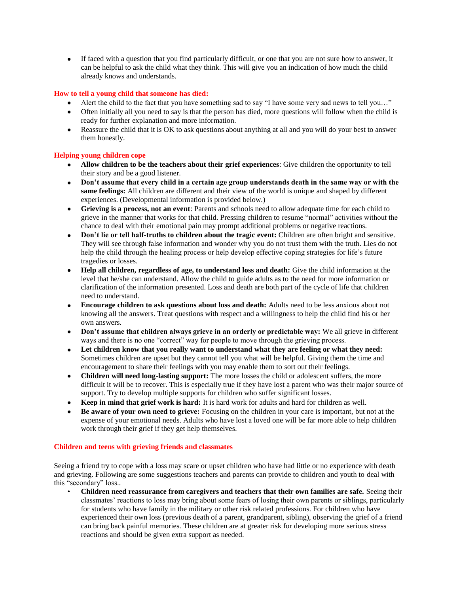If faced with a question that you find particularly difficult, or one that you are not sure how to answer, it can be helpful to ask the child what they think. This will give you an indication of how much the child already knows and understands.

## **How to tell a young child that someone has died:**

- Alert the child to the fact that you have something sad to say "I have some very sad news to tell you..."
- Often initially all you need to say is that the person has died, more questions will follow when the child is ready for further explanation and more information.
- Reassure the child that it is OK to ask questions about anything at all and you will do your best to answer them honestly.

# **Helping young children cope**

- **Allow children to be the teachers about their grief experiences**: Give children the opportunity to tell their story and be a good listener.
- **Don't assume that every child in a certain age group understands death in the same way or with the same feelings:** All children are different and their view of the world is unique and shaped by different experiences. (Developmental information is provided below.)
- **Grieving is a process, not an event**: Parents and schools need to allow adequate time for each child to grieve in the manner that works for that child. Pressing children to resume "normal" activities without the chance to deal with their emotional pain may prompt additional problems or negative reactions.
- **Don't lie or tell half-truths to children about the tragic event:** Children are often bright and sensitive. They will see through false information and wonder why you do not trust them with the truth. Lies do not help the child through the healing process or help develop effective coping strategies for life's future tragedies or losses.
- **Help all children, regardless of age, to understand loss and death:** Give the child information at the level that he/she can understand. Allow the child to guide adults as to the need for more information or clarification of the information presented. Loss and death are both part of the cycle of life that children need to understand.
- **Encourage children to ask questions about loss and death:** Adults need to be less anxious about not  $\bullet$ knowing all the answers. Treat questions with respect and a willingness to help the child find his or her own answers.
- **Don't assume that children always grieve in an orderly or predictable way:** We all grieve in different ways and there is no one "correct" way for people to move through the grieving process.
- Let children know that you really want to understand what they are feeling or what they need:  $\bullet$ Sometimes children are upset but they cannot tell you what will be helpful. Giving them the time and encouragement to share their feelings with you may enable them to sort out their feelings.
- **Children will need long-lasting support:** The more losses the child or adolescent suffers, the more difficult it will be to recover. This is especially true if they have lost a parent who was their major source of support. Try to develop multiple supports for children who suffer significant losses.
- **Keep in mind that grief work is hard:** It is hard work for adults and hard for children as well.
- **Be aware of your own need to grieve:** Focusing on the children in your care is important, but not at the expense of your emotional needs. Adults who have lost a loved one will be far more able to help children work through their grief if they get help themselves.

### **Children and teens with grieving friends and classmates**

Seeing a friend try to cope with a loss may scare or upset children who have had little or no experience with death and grieving. Following are some suggestions teachers and parents can provide to children and youth to deal with this "secondary" loss..

• **Children need reassurance from caregivers and teachers that their own families are safe.** Seeing their classmates' reactions to loss may bring about some fears of losing their own parents or siblings, particularly for students who have family in the military or other risk related professions. For children who have experienced their own loss (previous death of a parent, grandparent, sibling), observing the grief of a friend can bring back painful memories. These children are at greater risk for developing more serious stress reactions and should be given extra support as needed.